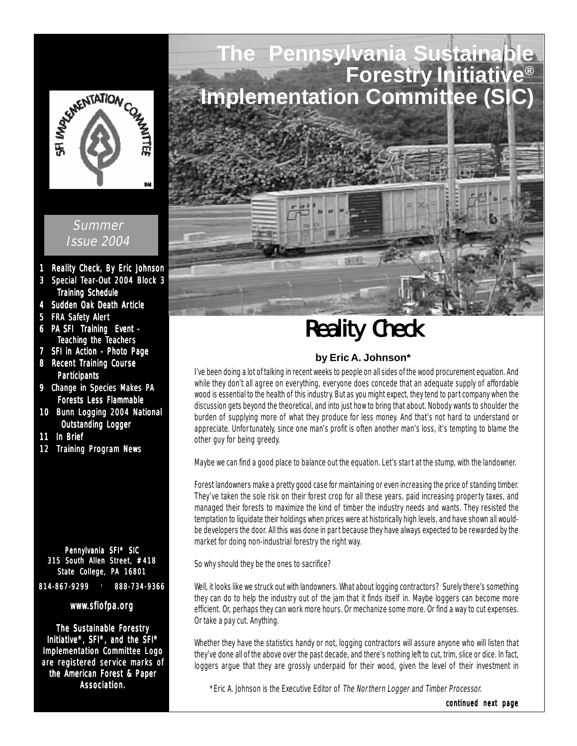

#### Summer Issue 2004

- 1 Reality Check, By Eric Johnson
- 3 Special Tear-Out 2004 Block 3 Training Schedule
- 4 Sudden Oak Death Article
- 5 FRA Safety Alert
- 6 PA SFI Training Event Teaching the Teachers
- 7 SFI in Action Photo Page
- 8 Recent Training Course **Participants**
- 9 Change in Species Makes PA Forests Less Flammable
- 10 Bunn Logging 2004 National **Outstanding Logger**
- 11 In Brief
- 12 Training Program News

Pennylvania SFI® SIC 315 South Allen Street, #418 State College, PA 16801 814-867-9299 888-734-9366

#### www.sfiofpa.org

The Sustainable Forestry Initiative<sup>®</sup>, SFI<sup>®</sup>, and the SFI<sup>®</sup> Implementation Committee Logo are registered service marks of the American Forest & Paper Association.



# **Reality Check**

#### **by Eric A. Johnson\***

I've been doing a lot of talking in recent weeks to people on all sides of the wood procurement equation. And while they don't all agree on everything, everyone does concede that an adequate supply of affordable wood is essential to the health of this industry. But as you might expect, they tend to part company when the discussion gets beyond the theoretical, and into just how to bring that about. Nobody wants to shoulder the burden of supplying more of what they produce for less money. And that's not hard to understand or appreciate. Unfortunately, since one man's profit is often another man's loss, it's tempting to blame the other guy for being greedy.

Maybe we can find a good place to balance out the equation. Let's start at the stump, with the landowner.

Forest landowners make a pretty good case for maintaining or even increasing the price of standing timber. They've taken the sole risk on their forest crop for all these years, paid increasing property taxes, and managed their forests to maximize the kind of timber the industry needs and wants. They resisted the temptation to liquidate their holdings when prices were at historically high levels, and have shown all wouldbe developers the door. All this was done in part because they have always expected to be rewarded by the market for doing non-industrial forestry the right way.

So why should they be the ones to sacrifice?

Well, it looks like we struck out with landowners. What about logging contractors? Surely there's something they can do to help the industry out of the jam that it finds itself in. Maybe loggers can become more efficient. Or, perhaps they can work more hours. Or mechanize some more. Or find a way to cut expenses. Or take a pay cut. Anything.

Whether they have the statistics handy or not, logging contractors will assure anyone who will listen that they've done all of the above over the past decade, and there's nothing left to cut, trim, slice or dice. In fact, loggers argue that they are grossly underpaid for their wood, given the level of their investment in

\*Eric A. Johnson is the Executive Editor of The Northern Logger and Timber Processor.

continued next page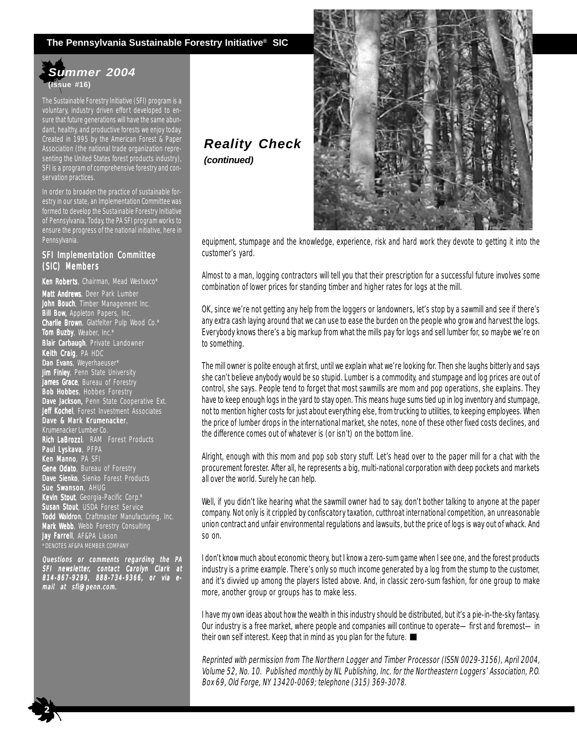#### **The Pennsylvania Sustainable Forestry Initiative® SIC**

#### *Summer 2004* **(Issue #16)**

The Sustainable Forestry Initiative (SFI) program is a voluntary, industry driven effort developed to ensure that future generations will have the same abundant, healthy, and productive forests we enjoy today. Created in 1995 by the American Forest & Paper Association (the national trade organization representing the United States forest products industry), SFI is a program of comprehensive forestry and conservation practices.

In order to broaden the practice of sustainable forestry in our state, an Implementation Committee was formed to develop the Sustainable Forestry Initiative of Pennsylvania. Today, the PA SFI program works to ensure the progress of the national initiative, here in Pennsylvania.

#### SFI Implementation Committee (SIC) Members

Ken Roberts, Chairman, Mead Westvaco\* Matt Andrews, Deer Park Lumber John Bouch, Timber Management Inc. **Bill Bow,** Appleton Papers, Inc. Charlie Brown, Glatfelter Pulp Wood Co.\* **Tom Buzby**, Weaber, Inc.\* Blair Carbaugh, Private Landowner Keith Craig, PA HDC Dan Evans, Weyerhaeuser\* **Jim Finley**, Penn State University **James Grace**, Bureau of Forestry **Bob Hobbes**, Hobbes Forestry Dave Jackson, Penn State Cooperative Ext. Jeff Kochel, Forest Investment Associates Dave & Mark Krumenacker, Krumenacker Lumber Co. Rich LaBrozzi, RAM Forest Products Paul Lyskava, PFPA Ken Manno, PA SFI Gene Odato, Bureau of Forestry Dave Sienko, Sienko Forest Products Sue Swanson, AHUG **Kevin Stout**, Georgia-Pacific Corp.\* Susan Stout, USDA Forest Service Todd Waldron, Craftmaster Manufacturing, Inc. Mark Webb, Webb Forestry Consulting **Jay Farrell**, AF&PA Liason \*DENOTES AF&PA MEMBER COMPANY

Questions or comments regarding the PA SFI newsletter, contact Carolyn Clark at 814-867-9299, 888-734-9366, or via email at sfi@penn.com.

 **2**

### *Reality Check (continued)*



equipment, stumpage and the knowledge, experience, risk and hard work they devote to getting it into the customer's yard.

Almost to a man, logging contractors will tell you that their prescription for a successful future involves some combination of lower prices for standing timber and higher rates for logs at the mill.

OK, since we're not getting any help from the loggers or landowners, let's stop by a sawmill and see if there's any extra cash laying around that we can use to ease the burden on the people who grow and harvest the logs. Everybody knows there's a big markup from what the mills pay for logs and sell lumber for, so maybe we're on to something.

The mill owner is polite enough at first, until we explain what we're looking for. Then she laughs bitterly and says she can't believe anybody would be so stupid. Lumber is a commodity, and stumpage and log prices are out of control, she says. People tend to forget that most sawmills are mom and pop operations, she explains. They have to keep enough logs in the yard to stay open. This means huge sums tied up in log inventory and stumpage, not to mention higher costs for just about everything else, from trucking to utilities, to keeping employees. When the price of lumber drops in the international market, she notes, none of these other fixed costs declines, and the difference comes out of whatever is (or isn't) on the bottom line.

Alright, enough with this mom and pop sob story stuff. Let's head over to the paper mill for a chat with the procurement forester. After all, he represents a big, multi-national corporation with deep pockets and markets all over the world. Surely he can help.

Well, if you didn't like hearing what the sawmill owner had to say, don't bother talking to anyone at the paper company. Not only is it crippled by confiscatory taxation, cutthroat international competition, an unreasonable union contract and unfair environmental regulations and lawsuits, but the price of logs is way out of whack. And so on.

I don't know much about economic theory, but I know a zero-sum game when I see one, and the forest products industry is a prime example. There's only so much income generated by a log from the stump to the customer, and it's divvied up among the players listed above. And, in classic zero-sum fashion, for one group to make more, another group or groups has to make less.

I have my own ideas about how the wealth in this industry should be distributed, but it's a pie-in-the-sky fantasy. Our industry is a free market, where people and companies will continue to operate—first and foremost—in their own self interest. Keep that in mind as you plan for the future.

Reprinted with permission from The Northern Logger and Timber Processor (ISSN 0029-3156), April 2004, Volume 52, No. 10. Published monthly by NL Publishing, Inc. for the Northeastern Loggers' Association, P.O. Box 69, Old Forge, NY 13420-0069; telephone (315) 369-3078.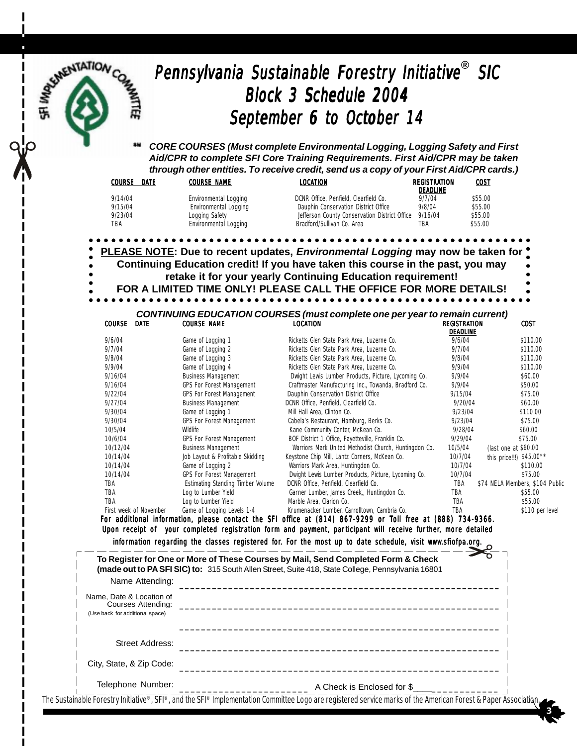## Pennsylvania Sustainable Forestry Initiative® SIC Block 3 Schedule 2004 September 6 to October 14

*CORE COURSES (Must complete Environmental Logging, Logging Safety and First Aid/CPR to complete SFI Core Training Requirements. First Aid/CPR may be taken through other entities. To receive credit, send us a copy of your First Aid/CPR cards.)*

| <b>COURSE</b><br>DATE | <b>COURSE NAME</b>    | LOCATION                                      | REGISTRATION<br><b>DEADLINE</b> | COST    |
|-----------------------|-----------------------|-----------------------------------------------|---------------------------------|---------|
| 9/14/04               | Environmental Logging | DCNR Office, Penfield, Clearfield Co.         | 9/7/04                          | \$55.00 |
| 9/15/04               | Environmental Logging | Dauphin Conservation District Office          | 9/8/04                          | \$55.00 |
| 9/23/04               | Logging Safety        | Jefferson County Conservation District Office | 9/16/04                         | \$55.00 |
| TBA                   | Environmental Logging | Bradford/Sullivan Co. Area                    | TBA                             | \$55.00 |
|                       |                       |                                               |                                 |         |

**PLEASE NOTE: Due to recent updates,** *Environmental Logging* **may now be taken for Continuing Education credit! If you have taken this course in the past, you may retake it for your yearly Continuing Education requirement! FOR A LIMITED TIME ONLY! PLEASE CALL THE OFFICE FOR MORE DETAILS!**

#### *CONTINUING EDUCATION COURSES (must complete one per year to remain current)* COURSE DATE COURSE NAME LOCATION REGISTRATION TION TION COST

|                        |                                   |                                                       | DEADLINE |                                 |
|------------------------|-----------------------------------|-------------------------------------------------------|----------|---------------------------------|
| 9/6/04                 | Game of Logging 1                 | Ricketts Glen State Park Area, Luzerne Co.            | 9/6/04   | \$110.00                        |
| 9/7/04                 | Game of Logging 2                 | Ricketts Glen State Park Area, Luzerne Co.            | 9/7/04   | \$110.00                        |
| 9/8/04                 | Game of Logging 3                 | Ricketts Glen State Park Area, Luzerne Co.            | 9/8/04   | \$110.00                        |
| 9/9/04                 | Game of Logging 4                 | Ricketts Glen State Park Area, Luzerne Co.            | 9/9/04   | \$110.00                        |
| 9/16/04                | <b>Business Management</b>        | Dwight Lewis Lumber Products, Picture, Lycoming Co.   | 9/9/04   | \$60.00                         |
| 9/16/04                | <b>GPS For Forest Management</b>  | Craftmaster Manufacturing Inc., Towanda, Bradford Co. | 9/9/04   | \$50.00                         |
| 9/22/04                | <b>GPS For Forest Management</b>  | Dauphin Conservation District Office                  | 9/15/04  | \$75.00                         |
| 9/27/04                | <b>Business Management</b>        | DCNR Office, Penfield, Clearfield Co.                 | 9/20/04  | \$60.00                         |
| 9/30/04                | Game of Logging 1                 | Mill Hall Area, Clinton Co.                           | 9/23/04  | \$110.00                        |
| 9/30/04                | <b>GPS For Forest Management</b>  | Cabela's Restaurant, Hamburg, Berks Co.               | 9/23/04  | \$75.00                         |
| 10/5/04                | Wildlife                          | Kane Community Center, McKean Co.                     | 9/28/04  | \$60.00                         |
| 10/6/04                | <b>GPS For Forest Management</b>  | BOF District 1 Office, Fayetteville, Franklin Co.     | 9/29/04  | \$75.00                         |
| 10/12/04               | <b>Business Management</b>        | Warriors Mark United Methodist Church, Huntingdon Co. | 10/5/04  | (last one at \$60.00            |
| 10/14/04               | Job Layout & Profitable Skidding  | Keystone Chip Mill, Lantz Corners, McKean Co.         | 10/7/04  | this price!!!) \$45.00**        |
| 10/14/04               | Game of Logging 2                 | Warriors Mark Area, Huntingdon Co.                    | 10/7/04  | \$110.00                        |
| 10/14/04               | GPS For Forest Management         | Dwight Lewis Lumber Products, Picture, Lycoming Co.   | 10/7/04  | \$75.00                         |
| TBA                    | Estimating Standing Timber Volume | DCNR Office, Penfield, Clearfield Co.                 | TBA      | \$74 NELA Members, \$104 Public |
| TBA                    | Log to Lumber Yield               | Garner Lumber, James Creek, Huntingdon Co.            | TBA      | \$55.00                         |
| TBA                    | Log to Lumber Yield               | Marble Area, Clarion Co.                              | TBA      | \$55.00                         |
| First week of November | Game of Logging Levels 1-4        | Krumenacker Lumber, Carrolltown, Cambria Co.          | TBA      | \$110 per level                 |

For additional information, please contact the SFI office at  $(814)$  867-9299 or Toll free at  $(888)$  734-9366. Upon receipt of your completed registration form and payment, participant will receive further, more detailed information regarding the classes registered for. For the most up to date schedule, visit www.sfiofpa.org.

| Name Attending:                                                                   |                            |
|-----------------------------------------------------------------------------------|----------------------------|
| Name. Date & Location of<br>Courses Attending:<br>(Use back for additional space) |                            |
| Street Address:                                                                   |                            |
| City, State, & Zip Code:                                                          |                            |
| Telephone Number:                                                                 | A Check is Enclosed for \$ |

 $\frac{1}{2}$  3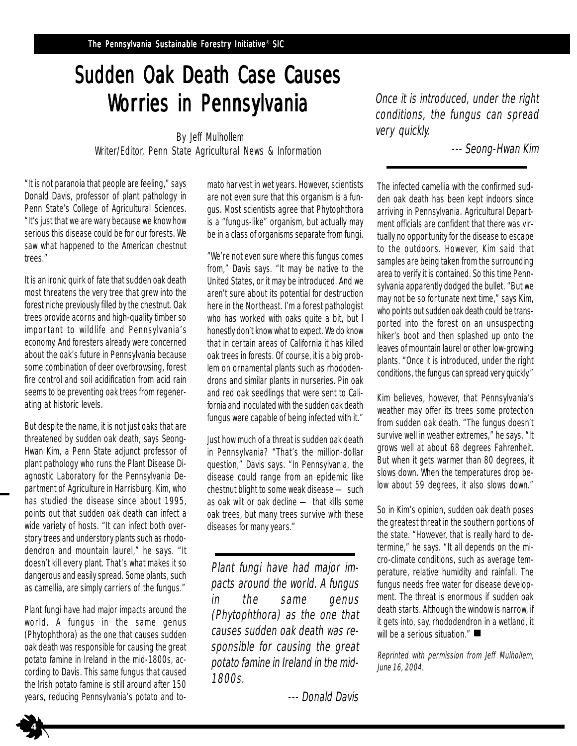# Sudden Oak Death Case Causes Worries in Pennsylvania

 By Jeff Mulhollem Writer/Editor, Penn State Agricultural News & Information

"It is not paranoia that people are feeling," says Donald Davis, professor of plant pathology in Penn State's College of Agricultural Sciences. "It's just that we are wary because we know how serious this disease could be for our forests. We saw what happened to the American chestnut trees."

It is an ironic quirk of fate that sudden oak death most threatens the very tree that grew into the forest niche previously filled by the chestnut. Oak trees provide acorns and high-quality timber so important to wildlife and Pennsylvania's economy. And foresters already were concerned about the oak's future in Pennsylvania because some combination of deer overbrowsing, forest fire control and soil acidification from acid rain seems to be preventing oak trees from regenerating at historic levels.

But despite the name, it is not just oaks that are threatened by sudden oak death, says Seong-Hwan Kim, a Penn State adjunct professor of plant pathology who runs the Plant Disease Diagnostic Laboratory for the Pennsylvania Department of Agriculture in Harrisburg. Kim, who has studied the disease since about 1995, points out that sudden oak death can infect a wide variety of hosts. "It can infect both overstory trees and understory plants such as rhododendron and mountain laurel," he says. "It doesn't kill every plant. That's what makes it so dangerous and easily spread. Some plants, such as camellia, are simply carriers of the fungus."

Plant fungi have had major impacts around the world. A fungus in the same genus (Phytophthora) as the one that causes sudden oak death was responsible for causing the great potato famine in Ireland in the mid-1800s, according to Davis. This same fungus that caused the Irish potato famine is still around after 150 years, reducing Pennsylvania's potato and to-

 **4**

mato harvest in wet years. However, scientists are not even sure that this organism is a fungus. Most scientists agree that Phytophthora is a "fungus-like" organism, but actually may be in a class of organisms separate from fungi.

"We're not even sure where this fungus comes from," Davis says. "It may be native to the United States, or it may be introduced. And we aren't sure about its potential for destruction here in the Northeast. I'm a forest pathologist who has worked with oaks quite a bit, but I honestly don't know what to expect. We do know that in certain areas of California it has killed oak trees in forests. Of course, it is a big problem on ornamental plants such as rhododendrons and similar plants in nurseries. Pin oak and red oak seedlings that were sent to California and inoculated with the sudden oak death fungus were capable of being infected with it."

Just how much of a threat is sudden oak death in Pennsylvania? "That's the million-dollar question," Davis says. "In Pennsylvania, the disease could range from an epidemic like chestnut blight to some weak disease — such as oak wilt or oak decline — that kills some oak trees, but many trees survive with these diseases for many years."

Plant fungi have had major impacts around the world. A fungus in the same genus (Phytophthora) as the one that causes sudden oak death was responsible for causing the great potato famine in Ireland in the mid-1800s.

--- Donald Davis

Once it is introduced, under the right conditions, the fungus can spread very quickly.

--- Seong-Hwan Kim

The infected camellia with the confirmed sudden oak death has been kept indoors since arriving in Pennsylvania. Agricultural Department officials are confident that there was virtually no opportunity for the disease to escape to the outdoors. However, Kim said that samples are being taken from the surrounding area to verify it is contained. So this time Pennsylvania apparently dodged the bullet. "But we may not be so fortunate next time," says Kim, who points out sudden oak death could be transported into the forest on an unsuspecting hiker's boot and then splashed up onto the leaves of mountain laurel or other low-growing plants. "Once it is introduced, under the right conditions, the fungus can spread very quickly."

Kim believes, however, that Pennsylvania's weather may offer its trees some protection from sudden oak death. "The fungus doesn't survive well in weather extremes," he says. "It grows well at about 68 degrees Fahrenheit. But when it gets warmer than 80 degrees, it slows down. When the temperatures drop below about 59 degrees, it also slows down."

So in Kim's opinion, sudden oak death poses the greatest threat in the southern portions of the state. "However, that is really hard to determine," he says. "It all depends on the micro-climate conditions, such as average temperature, relative humidity and rainfall. The fungus needs free water for disease development. The threat is enormous if sudden oak death starts. Although the window is narrow, if it gets into, say, rhododendron in a wetland, it will be a serious situation."

Reprinted with permission from Jeff Mulhollem, June 16, 2004.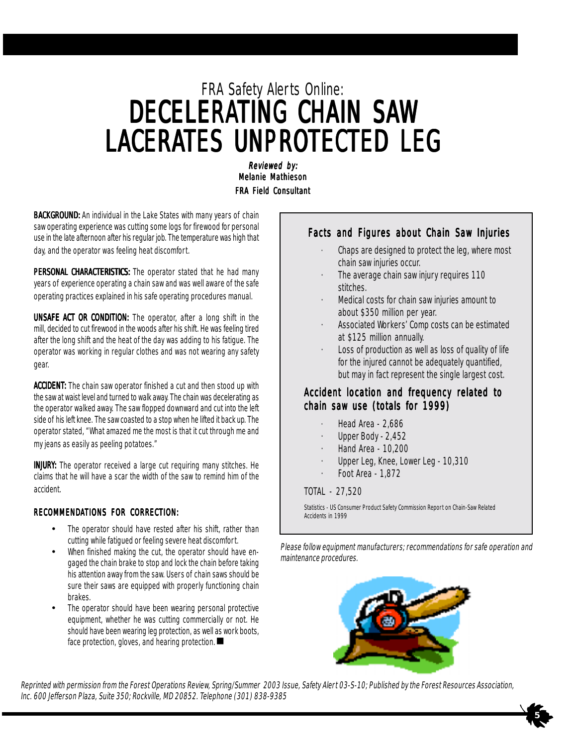# FRA Safety Alerts Online: DECELERATING CHAIN SAW LACERATES UNPROTECTED LEG

Reviewed by: Melanie Mathieson **FRA Field Consultant** 

BACKGROUND: An individual in the Lake States with many years of chain saw operating experience was cutting some logs for firewood for personal use in the late afternoon after his regular job. The temperature was high that day, and the operator was feeling heat discomfort.

PERSONAL CHARACTERISTICS: The operator stated that he had many years of experience operating a chain saw and was well aware of the safe operating practices explained in his safe operating procedures manual.

**UNSAFE ACT OR CONDITION:** The operator, after a long shift in the mill, decided to cut firewood in the woods after his shift. He was feeling tired after the long shift and the heat of the day was adding to his fatigue. The operator was working in regular clothes and was not wearing any safety gear.

ACCIDENT: The chain saw operator finished a cut and then stood up with the saw at waist level and turned to walk away. The chain was decelerating as the operator walked away. The saw flopped downward and cut into the left side of his left knee. The saw coasted to a stop when he lifted it back up. The operator stated, "What amazed me the most is that it cut through me and my jeans as easily as peeling potatoes."

**INJURY:** The operator received a large cut requiring many stitches. He claims that he will have a scar the width of the saw to remind him of the accident.

#### RECOMMENDATIONS FOR CORRECTION:

- The operator should have rested after his shift, rather than cutting while fatigued or feeling severe heat discomfort.
- When finished making the cut, the operator should have engaged the chain brake to stop and lock the chain before taking his attention away from the saw. Users of chain saws should be sure their saws are equipped with properly functioning chain brakes.
- Fraction contributing by protection, we have also The operator should have been wearing personal protective equipment, whether he was cutting commercially or not. He should have been wearing leg protection, as well as work boots,

#### Facts and Figures about Chain Saw Injuries

- Chaps are designed to protect the leg, where most chain saw injuries occur.
- The average chain saw injury requires 110 stitches.
- · Medical costs for chain saw injuries amount to about \$350 million per year.
- · Associated Workers' Comp costs can be estimated at \$125 million annually.
- Loss of production as well as loss of quality of life for the injured cannot be adequately quantified, but may in fact represent the single largest cost.

#### Accident location and frequency related to chain saw use (totals for  $1999$ )

- · Head Area 2,686
- Upper Body 2,452
- · Hand Area 10,200
- Upper Leg, Knee, Lower Leg 10,310
- · Foot Area 1,872

#### TOTAL - 27,520

Statistics - US Consumer Product Safety Commission Report on Chain-Saw Related Accidents in 1999

Please follow equipment manufacturers; recommendations for safe operation and maintenance procedures.



 $\rightarrow$  5

Reprinted with permission from the Forest Operations Review, Spring/Summer 2003 Issue, Safety Alert 03-S-10; Published by the Forest Resources Association, Inc. 600 Jefferson Plaza, Suite 350; Rockville, MD 20852. Telephone (301) 838-9385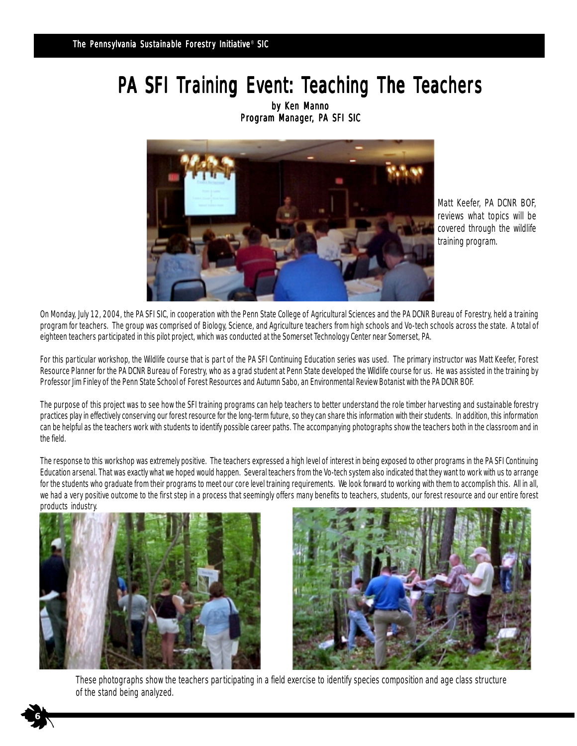# PA SFI Training Event: Teaching The Teachers

by Ken Manno Program Manager, PA SFI SIC



Matt Keefer, PA DCNR BOF, reviews what topics will be covered through the wildlife training program.

On Monday, July 12, 2004, the PA SFI SIC, in cooperation with the Penn State College of Agricultural Sciences and the PA DCNR Bureau of Forestry, held a training program for teachers. The group was comprised of Biology, Science, and Agriculture teachers from high schools and Vo-tech schools across the state. A total of eighteen teachers participated in this pilot project, which was conducted at the Somerset Technology Center near Somerset, PA.

For this particular workshop, the Wildlife course that is part of the PA SFI Continuing Education series was used. The primary instructor was Matt Keefer, Forest Resource Planner for the PA DCNR Bureau of Forestry, who as a grad student at Penn State developed the Wildlife course for us. He was assisted in the training by Professor Jim Finley of the Penn State School of Forest Resources and Autumn Sabo, an Environmental Review Botanist with the PA DCNR BOF.

The purpose of this project was to see how the SFI training programs can help teachers to better understand the role timber harvesting and sustainable forestry practices play in effectively conserving our forest resource for the long-term future, so they can share this information with their students. In addition, this information can be helpful as the teachers work with students to identify possible career paths. The accompanying photographs show the teachers both in the classroom and in the field.

The response to this workshop was extremely positive. The teachers expressed a high level of interest in being exposed to other programs in the PA SFI Continuing Education arsenal. That was exactly what we hoped would happen. Several teachers from the Vo-tech system also indicated that they want to work with us to arrange for the students who graduate from their programs to meet our core level training requirements. We look forward to working with them to accomplish this. All in all, we had a very positive outcome to the first step in a process that seemingly offers many benefits to teachers, students, our forest resource and our entire forest products industry.



**6**



These photographs show the teachers participating in a field exercise to identify species composition and age class structure of the stand being analyzed.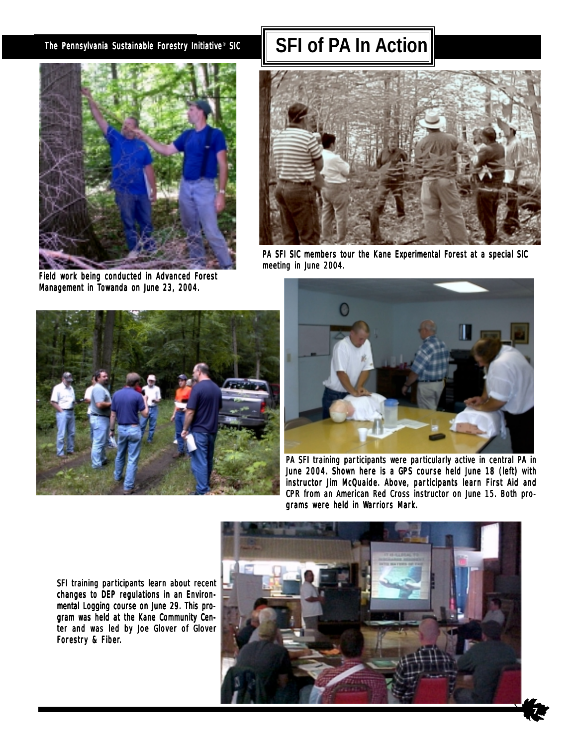

Field work being conducted in Advanced Forest Management in Towanda on June 23, 2004.

## The Pennsylvania Sustainable Forestry Initiative® SIC **SEL Of PA In Action**



PA SFI SIC members tour the Kane Experimental Forest at a special SIC meeting in June 2004.





PA SFI training participants were particularly active in central PA in June 2004. Shown here is a GPS course held June 18 (left) with instructor Jim McQuaide. Above, participants learn First Aid and CPR from an American Red Cross instructor on June 15. Both programs were held in Warriors Mark.

**7**

SFI training participants learn about recent changes to DEP regulations in an Environmental Logging course on June 29. This program was held at the Kane Community Center and was led by Joe Glover of Glover Forestry & Fiber.

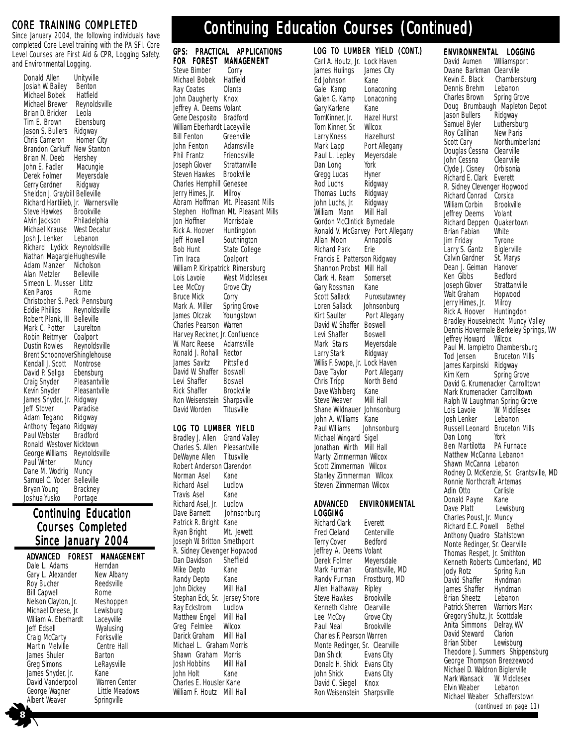#### CORE TRAINING COMPLETED

Since January 2004, the following individuals have completed Core Level training with the PA SFI. Core Level Courses are First Aid & CPR, Logging Safety, and Environmental Logging.

| Donald Allen                   | Unityville                 |
|--------------------------------|----------------------------|
| Josiah W. Bailey               | Benton                     |
| Michael Bobek                  | Hatfield                   |
| Michael Brewer                 | Reynoldsville              |
| Brian D. Bricker               | Leola                      |
| Tim E. Brown                   | Ebensburg                  |
| Jason S. Bullers               | Ridgway                    |
| Chris Cameron                  | Homer City                 |
| Brandon Carkuff                | New Stanton                |
| Brian M. Deeb                  | Hershey                    |
| John E. Fadler                 | Macungie                   |
| Derek Folmer                   | Meyersdale                 |
| Gerry Gardner                  |                            |
| Sheldon J. Graybill Belleville | Ridgway                    |
|                                |                            |
| Richard Hartilieb, Jr.         | Warnersville               |
| Steve Hawkes                   | Brookville                 |
| Alvin Jackson                  | Philadelphia               |
| Michael Krause                 | West Decatur               |
| Josh J. Lenker                 | Lebanon                    |
| Richard Lydick                 | Reynoldsville              |
| Nathan Magargle Hughesville    |                            |
| Adam Manzer                    | Nicholson                  |
| Alan Metzler                   | Belleville                 |
| Simeon L. Musser Lititz        |                            |
| Ken Paros                      | Rome                       |
| Christopher S. Peck Pennsburg  |                            |
| <b>Eddie Phillips</b>          | Reynoldsville              |
| Robert Plank,<br>Ш             | Belleville                 |
| Mark C. Potter                 | Laurelton                  |
| Robin Reitmyer                 | Coalport                   |
| <b>Dustin Rowles</b>           | Reynoldsville              |
| Brent SchoonoverShinglehouse   |                            |
| Kendall J. Scott               | Montrose                   |
| David P. Seliga                | Ebensburg                  |
| Craig Snyder                   | Pleasantville              |
| Kevin Snyder                   | Pleasantville              |
| James Snyder, Jr.              |                            |
| Jeff Stover                    |                            |
| Adam Tegano                    | Ridgway                    |
|                                | Paradise                   |
|                                | Ridgway                    |
| Anthony Tegano                 | Ridgway                    |
| Paul Webster                   | Bradford                   |
| Ronald Westover Nicktown       |                            |
| George Williams                | Reynoldsville              |
| Paul Winter                    | Muncy                      |
| Dane M. Wodrig                 | Muncy                      |
| Samuel C. Yoder                | <b>Belleville</b>          |
| Bryan Young<br>Joshua Yusko    | <b>Brackney</b><br>Portage |

#### **Continuing Education** Courses Completed Since January 2004

| ADVANCED | <b>FOREST MANAGEMENT</b> |
|----------|--------------------------|
|          |                          |

Dale L. Adams Herndan<br>Gary L. Alexander New Albany Gary L. Alexander Mew Alban<br>Roy Bucher Reedsville Roy Bucher Reeds<br>
Bill Capwell Rome Bill Capwell **Rome**<br>Nelson Clayton, Jr. Meshoppen Nelson Clayton, Jr. Meshoppe<br>Michael Dreese, Jr. Lewisburg Michael Dreese, Jr. Lewisburg<br>William A. Eberhardt Lacevville William A. Eberhardt Jeff Edsell **Wyalusing**<br>Craig McCarty **Craig Pro** Craig McCarty Forksville<br>Martin Melville Centre Hall Martin Melville James Shuler Barton<br>Greg Simons LeRaysville Greg Simons LeRay<br>James Snyder, Jr. Kane James Snyder, Jr. Kane<br>David Vanderpool Warren Center David Vanderpool Warren Center<br>George Wagner Little Meadows George Wagner Little Mea<br>
Albert Weaver Springville Albert Weaver

#### **FOR FOREST MANAGEMENT**<br>Steve Bimber Corry Steve Bimber Corry<br>Michael Bobek Hatfield Michael Bobek Hatfield<br>Ray Coates Olanta Ray Coates John Daugherty Knox Jeffrey A. Deems Volant Gene Desposito Bradford William Eberhardt Laceyville Bill Fenton Greenville<br>John Fenton Adamsville John Fenton Adamsville<br>Phil Frantz Friendsville Phil Frantz Friendsville<br>Joseph Glover Strattanville Joseph Glover Strattanvil<br>Steven Hawkes Brookville Steven Hawkes Charles Hemphill Genesee Jerry Himes, Jr. Milroy Jon Hoffner Morrisdale<br>Rick A. Hoover Huntingdon Rick A. Hoover<br>Jeff Howell Jeff Howell Southington<br>Bob Hunt State College Tim Iraca Lee McCoy Grove City Bruce Mick Corry<br>Mark A. Miller Sprin Spring Grove<br>Youngstown James Olczak Charles Pearson Warren Harvey Reckner, Jr. Confluence<br>W. Marc Reese Adamsville W. Marc Reese Adams<br>Ronald J. Rohall Rector Ronald J. Rohall Rector<br>James Savitz Pittsfield James Savitz David W. Shaffer Boswell<br>Levi Shaffer Boswell Levi Shaffer Boswell<br>Rick Shaffer Brookville Rick Shaffer Ron Weisenstein Sharpsville<br>David Worden Titusville David Worden LOG TO LUMBER YIELD Bradley J. Allen Grand Valley Charles S. Allen Pleasantville DeWayne Allen Titusville Robert Anderson Clarendon<br>Norman Asel Kane Norman Asel Richard Asel Ludlow Travis Asel Kane<br>Richard Asel. Jr. Ludlow Richard Asel, Jr.<br>Dave Barnett Patrick R. Bright Kane Ryan Bright Mt. Jewett

## Continuing Education Courses (Continued)

# GPS: PRACTICAL APPLICATIONS

Abram Hoffman Mt. Pleasant Mills Stephen Hoffman Mt. Pleasant Mills State College<br>Coalport William P. Kirkpatrick Rimersburg Lois Lavoie West Middlesex

Johnsonburg Joseph W. Britton Smethport R. Sidney Clevenger Hopwood<br>Dan Davidson Sheffield Dan Davidson Sheff<br>Mike Depto Kane Mike Depto Kane<br>Randy Depto Kane Randy Depto Kane<br>John Dickey Mill Hall John Dickey Stephan Eck, Sr. Jersey Shore<br>Rav Eckstrom Ludlow Ray Eckstrom Ludlow<br>Matthew Engel Mill Hall Matthew Engel Mill Hall<br>Greg Felmlee Wilcox Greg Felmlee Wilcox<br>Darick Graham Mill Hall Darick Graham Michael L. Graham Morris Shawn Graham Morris<br>Josh Hobbins Mill Hall Josh Hobbins John Holt Kane Charles E. Housler Kane William F. Houtz Mill Hall

Carl A. Houtz, Jr. Lock Haven James Hulings James City<br>Ed Johnson Kane Ed Johnson<br>Gale Kamp Lonaconing Galen G. Kamp Lonaconing Gary Karlene Kane<br>TomKinner, Jr. Hazel Hurst TomKinner, Jr. Tom Kinner, Sr. Wilcox Larry Kness Mark Lapp Port Allegany<br>Paul L. Lepley Meyersdale Paul L. Lepley Meye<br>Dan Long York Dan Long Gregg Lucas Hyner Rod Luchs Ridgway<br>Thomas Luchs Ridgway Thomas Luchs Ridgway<br>John Luchs, Jr. Ridgway John Luchs, Jr. Ridgway<br>William Mann Mill Hall William Mann Gordon McClintick Byrnedale Ronald V. McGarvey Port Allegany<br>Allan Moon Annapolis Allan Moon Anna<br>Richard Park Erie **Richard Park** Francis E. Patterson Ridgway Shannon Probst Mill Hall<br>Clark H. Ream Somerset Clark H. Ream Some<br>Gary Rossman Kane Gary Rossman<br>Scott Sallack Punxsutawney<br>Johnsonburg Loren Sallack<br>Kirt Saulter Port Allegany David W. Shaffer Boswell<br>Levi Shaffer Boswell Levi Shaffer Boswell<br>Mark Stairs Meversdale Mark Stairs Meyersd<br>Larry Stark Ridgway Larry Stark Willis F. Swope, Jr. Lock Haven<br>Dave Taylor Port Allegar Port Allegany<br>North Bend Chris Tripp North<br>Dave Wahlberg Kane Dave Wahlberg Kane<br>Steve Weaver Mill Hall Steve Weaver Shane Wildnauer Johnsonburg John A. Williams Kane<br>Paul Williams Johns Johnsonburg Michael Wingard Sigel Jonathan Wirth Mill Hall Marty Zimmerman Wilcox Scott Zimmerman Wilcox Stanley Zimmerman Wilcox Steven Zimmerman Wilcox

#### ADVANCED ENVIRONMENTAL LOGGING

Richard Clark Everett<br>Fred Cleland Centerville Fred Cleland Terry Cover Bedford Jeffrey A. Deems Volant<br>Derek Folmer Meyersdale Derek Folmer<br>Mark Furman Grantsville, MD<br>Frostburg, MD Randy Furman Allen Hathaway Ripley<br>Steve Hawkes Brookville Steve Hawkes Brookville<br>Kenneth Klahre Clearville Kenneth Klahre Clearville<br>Lee McCoy Grove City Lee McCoy Grove City<br>
Paul Neal Brookville Paul Neal Charles F. Pearson Warren Monte Redinger, Sr. Clearville<br>Dan Shick Evans City Evans City<br>Evans City Donald H. Shick<br>John Shick Evans City David C. Siegel Knox Ron Weisenstein Sharpsville

#### LOG TO LUMBER YIELD (CONT.) ENVIRONMI ENVIRONMENTAL LOGGING<br>David Aumen Williamsport

**Formach Byler Edinch 30d**<br>Roy Callihan **New Paris** David Aumen Dwane Barkman Clearville<br>Kevin E. Black Chamber Chambersburg<br>Lebanon Dennis Brehm<br>Charles Brown Spring Grove Doug Brumbaugh Mapleton Depot<br>Jason Bullers Ridgway Jason Bullers Ridgway Samuel Byler Luthersbur<br>Rov Calliban New Paris Scott Cary Northumberland Douglas Čessna Clearville<br>John Cessna Clearville John Cessna Clearville<br>Clyde J. Cisnev Orbisonia Clyde J. Cisney Richard E. Clark Everett R. Sidney Clevenger Hopwood<br>Richard Conrad Corsica Richard Conrad Corsica<br>William Corbin Brookville William Corbin Brookv<br>Jeffrey Deems Volant Jeffrey Deems Richard Deppen Quakertown<br>Brian Fabian White Brian Fabian White<br>Jim Fridav Tyrone Jim Friday Tyrone<br>Larry S. Gantz Biglerville Larry S. Gantz Biglerville<br>Calvin Gardner St. Marys Calvin Gardner St. Mary<br>Dean L. Geiman Hanover Dean J. Geiman Hanover<br>Ken Gibbs Bedford Ken Gibbs Bedford<br>Joseph Glover Strattanville Joseph Glover Strattanvi<br>Walt Graham Hopwood Walt Graham Hopwo<br>Jerry Himes, Jr. Milrov Jerry Himes, Jr. Milroy<br>Rick A. Hoover Huntingdon Rick A. Hoover Bradley Houseknecht Muncy Valley Dennis Hovermale Berkeley Springs, WV Jeffrey Howard Wilcox Paul M. lampietro Chambersburg<br>Tod Jensen Bruceton Mills Bruceton Mills James Karpinski Ridgway<br>Kim Kern Spring G Spring Grove David G. Krumenacker Carrolltown Mark Krumenacker Carrolltown Ralph W. Laughman Spring Grove<br>Lois Lavoie W. Middlesex W. Middlesex Josh Lenker Lebanon Russell Leonard Bruceton Mills<br>Dan Long York Dan Long Ben Martilotta PA Furnace Matthew McCanna Lebanon Shawn McCanna Lebanon Rodney D. McKenzie, Sr. Grantsville, MD Ronnie Northcraft Artemas<br>Adin Otto Carlisle Adin Otto Donald Payne Kane<br>Dave Platt Lewisburg Dave Platt Charles Poust, Jr. Muncy Richard E.C. Powell Bethel Anthony Quadro Stahlstown Monte Redinger, Sr. Clearville Thomas Respet, Jr. Smithton Kenneth Roberts Cumberland, MD<br>Jody Rotz Spring Run Spring Run<br>Hyndman David Shaffer Hyndman<br>James Shaffer Hyndman James Shaffer Hyndman<br>Brian Sheetz Lebanon Brian Sheetz Patrick Sherren Warriors Mark Gregory Shultz, Jr. Scottdale Anita Simmons Delray, WV David Steward Clarion<br>Brian Stiber Lewisburg Brian Stiber Theodore J. Summers Shippensburg George Thompson Breezewood Michael D. Waldron Biglerville<br>Mark Wansack W. Middlesex Mark Wansack W. Middle<br>Elvin Weaber Lebanon Elvin Weaber Michael Weaber Schafferstown (continued on page 11)

**8**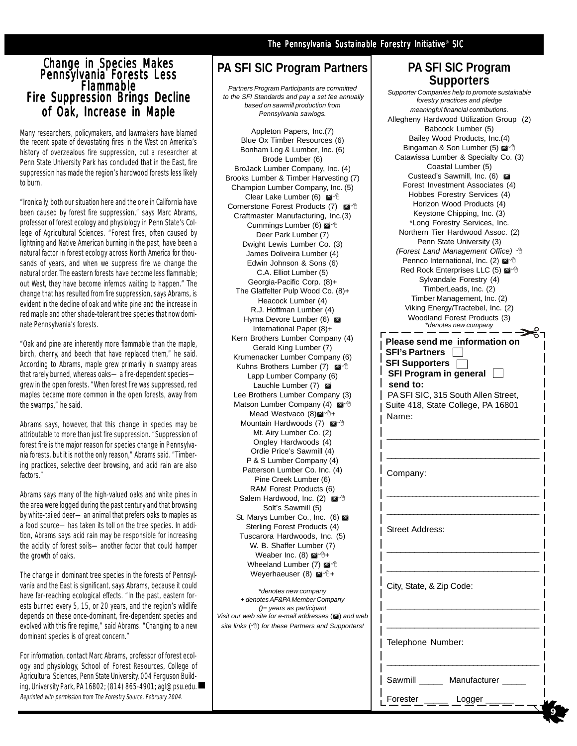#### Change in Sp<u>e</u>cies Makes Pennsylvania Forests Less Flammable Flammable Fire Suppression Brings Decline of Oak, Increase in Maple

Many researchers, policymakers, and lawmakers have blamed the recent spate of devastating fires in the West on America's history of overzealous fire suppression, but a researcher at Penn State University Park has concluded that in the East, fire suppression has made the region's hardwood forests less likely to burn.

"Ironically, both our situation here and the one in California have been caused by forest fire suppression," says Marc Abrams, professor of forest ecology and physiology in Penn State's College of Agricultural Sciences. "Forest fires, often caused by lightning and Native American burning in the past, have been a natural factor in forest ecology across North America for thousands of years, and when we suppress fire we change the natural order. The eastern forests have become less flammable; out West, they have become infernos waiting to happen." The change that has resulted from fire suppression, says Abrams, is evident in the decline of oak and white pine and the increase in red maple and other shade-tolerant tree species that now dominate Pennsylvania's forests.

"Oak and pine are inherently more flammable than the maple, birch, cherry, and beech that have replaced them," he said. According to Abrams, maple grew primarily in swampy areas that rarely burned, whereas oaks—a fire-dependent species grew in the open forests. "When forest fire was suppressed, red maples became more common in the open forests, away from the swamps," he said.

Abrams says, however, that this change in species may be attributable to more than just fire suppression. "Suppression of forest fire is the major reason for species change in Pennsylvania forests, but it is not the only reason," Abrams said. "Timbering practices, selective deer browsing, and acid rain are also factors."

Abrams says many of the high-valued oaks and white pines in the area were logged during the past century and that browsing by white-tailed deer—an animal that prefers oaks to maples as a food source—has taken its toll on the tree species. In addition, Abrams says acid rain may be responsible for increasing the acidity of forest soils—another factor that could hamper the growth of oaks.

The change in dominant tree species in the forests of Pennsylvania and the East is significant, says Abrams, because it could have far-reaching ecological effects. "In the past, eastern forests burned every 5, 15, or 20 years, and the region's wildlife depends on these once-dominant, fire-dependent species and evolved with this fire regime," said Abrams. "Changing to a new dominant species is of great concern."

For information, contact Marc Abrams, professor of forest ecology and physiology, School of Forest Resources, College of Agricultural Sciences, Penn State University, 004 Ferguson Building, University Park, PA 16802; (814) 865-4901; agl@psu.edu. Reprinted with permission from The Forestry Source, February 2004.

#### The Pennsylvania Sustainable Forestry Initiative® SIC

#### **PA SFI SIC Program Partners**

*Partners Program Participants are committed to the SFI Standards and pay a set fee annually based on sawmill production from Pennsylvania sawlogs.*

Appleton Papers, Inc.(7) Blue Ox Timber Resources (6) Bonham Log & Lumber, Inc. (6) Brode Lumber (6) BroJack Lumber Company, Inc. (4) Brooks Lumber & Timber Harvesting (7) Champion Lumber Company, Inc. (5) Clear Lake Lumber (6) @<sup>-</sup> Cornerstone Forest Products (7) Craftmaster Manufacturing, Inc.(3) Cummings Lumber (6) @<sup>-</sup> Deer Park Lumber (7) Dwight Lewis Lumber Co. (3) James Doliveira Lumber (4) Edwin Johnson & Sons (6) C.A. Elliot Lumber (5) Georgia-Pacific Corp. (8)+ The Glatfelter Pulp Wood Co. (8)+ Heacock Lumber (4) R.J. Hoffman Lumber (4) Hyma Devore Lumber (6) International Paper (8)+ Kern Brothers Lumber Company (4) Gerald King Lumber (7) Krumenacker Lumber Company (6) Kuhns Brothers Lumber (7) @ <sup>+</sup> Lapp Lumber Company (6) Lauchle Lumber (7) Lee Brothers Lumber Company (3) Matson Lumber Company (4) Mead Westvaco (8)<sup>2</sup>+ Mountain Hardwoods (7) Mt. Airy Lumber Co. (2) Ongley Hardwoods (4) Ordie Price's Sawmill (4) P & S Lumber Company (4) Patterson Lumber Co. Inc. (4) Pine Creek Lumber (6) RAM Forest Products (6) Salem Hardwood, Inc. (2) Solt's Sawmill (5) St. Marys Lumber Co., Inc. (6) Sterling Forest Products (4) Tuscarora Hardwoods, Inc. (5) W. B. Shaffer Lumber (7) Weaber Inc. (8)  $\mathbb{Z}^4$   $\oplus$  + Wheeland Lumber (7) @ <sup>+</sup> Weyerhaeuser  $(8)$   $\blacksquare$ <sup>+</sup>

\**denotes new company + denotes AF&PA Member Company ()= years as participant Visit our web site for e-mail addresses* (a) and web *site links* () *for these Partners and Supporters!*

#### **PA SFI SIC Program Supporters**

| Supporter Companies help to promote sustainable                                                                                                                                                                                                                                                                                                                                                                                                                                                                                                                                                                                                                                                                                                                                                                                          |
|------------------------------------------------------------------------------------------------------------------------------------------------------------------------------------------------------------------------------------------------------------------------------------------------------------------------------------------------------------------------------------------------------------------------------------------------------------------------------------------------------------------------------------------------------------------------------------------------------------------------------------------------------------------------------------------------------------------------------------------------------------------------------------------------------------------------------------------|
| forestry practices and pledge                                                                                                                                                                                                                                                                                                                                                                                                                                                                                                                                                                                                                                                                                                                                                                                                            |
| meaningful financial contributions.<br>Allegheny Hardwood Utilization Group (2)<br>Babcock Lumber (5)<br>Bailey Wood Products, Inc.(4)<br>Bingaman & Son Lumber (5) @ 16<br>Catawissa Lumber & Specialty Co. (3)<br>Coastal Lumber (5)<br>Custead's Sawmill, Inc. (6)<br>Forest Investment Associates (4)<br>Hobbes Forestry Services (4)<br>Horizon Wood Products (4)<br>Keystone Chipping, Inc. (3)<br>*Long Forestry Services, Inc.<br>Northern Tier Hardwood Assoc. (2)<br>Penn State University (3)<br>(Forest Land Management Office) <sup>4</sup><br>Pennco International, Inc. (2) @ <sup>-</sup><br>Red Rock Enterprises LLC (5) ⊠ <sup>.</sup><br>Sylvandale Forestry (4)<br>TimberLeads, Inc. (2)<br>Timber Management, Inc. (2)<br>Viking Energy/Tractebel, Inc. (2)<br>Woodland Forest Products (3)<br>*denotes new company |
| Please send me information on                                                                                                                                                                                                                                                                                                                                                                                                                                                                                                                                                                                                                                                                                                                                                                                                            |
| <b>SFI's Partners</b>                                                                                                                                                                                                                                                                                                                                                                                                                                                                                                                                                                                                                                                                                                                                                                                                                    |
| <b>SFI Supporters</b><br><b>SFI Program in general</b>                                                                                                                                                                                                                                                                                                                                                                                                                                                                                                                                                                                                                                                                                                                                                                                   |
| send to:                                                                                                                                                                                                                                                                                                                                                                                                                                                                                                                                                                                                                                                                                                                                                                                                                                 |
| PA SFI SIC, 315 South Allen Street,                                                                                                                                                                                                                                                                                                                                                                                                                                                                                                                                                                                                                                                                                                                                                                                                      |
| Suite 418, State College, PA 16801                                                                                                                                                                                                                                                                                                                                                                                                                                                                                                                                                                                                                                                                                                                                                                                                       |
| Name:                                                                                                                                                                                                                                                                                                                                                                                                                                                                                                                                                                                                                                                                                                                                                                                                                                    |
|                                                                                                                                                                                                                                                                                                                                                                                                                                                                                                                                                                                                                                                                                                                                                                                                                                          |
|                                                                                                                                                                                                                                                                                                                                                                                                                                                                                                                                                                                                                                                                                                                                                                                                                                          |
|                                                                                                                                                                                                                                                                                                                                                                                                                                                                                                                                                                                                                                                                                                                                                                                                                                          |
| Company:                                                                                                                                                                                                                                                                                                                                                                                                                                                                                                                                                                                                                                                                                                                                                                                                                                 |
|                                                                                                                                                                                                                                                                                                                                                                                                                                                                                                                                                                                                                                                                                                                                                                                                                                          |
|                                                                                                                                                                                                                                                                                                                                                                                                                                                                                                                                                                                                                                                                                                                                                                                                                                          |
|                                                                                                                                                                                                                                                                                                                                                                                                                                                                                                                                                                                                                                                                                                                                                                                                                                          |
|                                                                                                                                                                                                                                                                                                                                                                                                                                                                                                                                                                                                                                                                                                                                                                                                                                          |
| Street Address:                                                                                                                                                                                                                                                                                                                                                                                                                                                                                                                                                                                                                                                                                                                                                                                                                          |
|                                                                                                                                                                                                                                                                                                                                                                                                                                                                                                                                                                                                                                                                                                                                                                                                                                          |
|                                                                                                                                                                                                                                                                                                                                                                                                                                                                                                                                                                                                                                                                                                                                                                                                                                          |
|                                                                                                                                                                                                                                                                                                                                                                                                                                                                                                                                                                                                                                                                                                                                                                                                                                          |
| City, State, & Zip Code:                                                                                                                                                                                                                                                                                                                                                                                                                                                                                                                                                                                                                                                                                                                                                                                                                 |
|                                                                                                                                                                                                                                                                                                                                                                                                                                                                                                                                                                                                                                                                                                                                                                                                                                          |
|                                                                                                                                                                                                                                                                                                                                                                                                                                                                                                                                                                                                                                                                                                                                                                                                                                          |
|                                                                                                                                                                                                                                                                                                                                                                                                                                                                                                                                                                                                                                                                                                                                                                                                                                          |
|                                                                                                                                                                                                                                                                                                                                                                                                                                                                                                                                                                                                                                                                                                                                                                                                                                          |
| Telephone Number:                                                                                                                                                                                                                                                                                                                                                                                                                                                                                                                                                                                                                                                                                                                                                                                                                        |
|                                                                                                                                                                                                                                                                                                                                                                                                                                                                                                                                                                                                                                                                                                                                                                                                                                          |
|                                                                                                                                                                                                                                                                                                                                                                                                                                                                                                                                                                                                                                                                                                                                                                                                                                          |
| Manufacturer<br>Sawmill                                                                                                                                                                                                                                                                                                                                                                                                                                                                                                                                                                                                                                                                                                                                                                                                                  |

**9**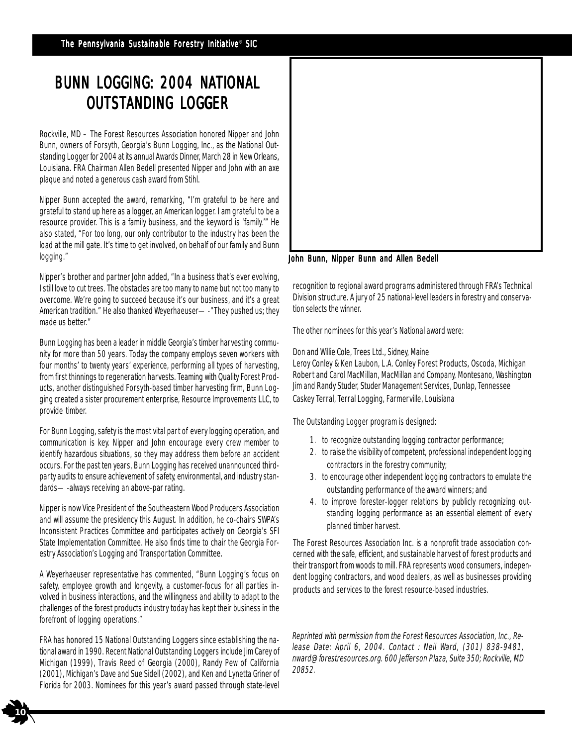## BUNN LOGGING: 2004 NATIONAL **OUTSTANDING LOGGER**

Rockville, MD – The Forest Resources Association honored Nipper and John Bunn, owners of Forsyth, Georgia's Bunn Logging, Inc., as the National Outstanding Logger for 2004 at its annual Awards Dinner, March 28 in New Orleans, Louisiana. FRA Chairman Allen Bedell presented Nipper and John with an axe plaque and noted a generous cash award from Stihl.

Nipper Bunn accepted the award, remarking, "I'm grateful to be here and grateful to stand up here as a logger, an American logger. I am grateful to be a resource provider. This is a family business, and the keyword is 'family.'" He also stated, "For too long, our only contributor to the industry has been the load at the mill gate. It's time to get involved, on behalf of our family and Bunn logging."

Nipper's brother and partner John added, "In a business that's ever evolving, I still love to cut trees. The obstacles are too many to name but not too many to overcome. We're going to succeed because it's our business, and it's a great American tradition." He also thanked Weyerhaeuser—-"They pushed us; they made us better."

Bunn Logging has been a leader in middle Georgia's timber harvesting community for more than 50 years. Today the company employs seven workers with four months' to twenty years' experience, performing all types of harvesting, from first thinnings to regeneration harvests. Teaming with Quality Forest Products, another distinguished Forsyth-based timber harvesting firm, Bunn Logging created a sister procurement enterprise, Resource Improvements LLC, to provide timber.

For Bunn Logging, safety is the most vital part of every logging operation, and communication is key. Nipper and John encourage every crew member to identify hazardous situations, so they may address them before an accident occurs. For the past ten years, Bunn Logging has received unannounced thirdparty audits to ensure achievement of safety, environmental, and industry standards—-always receiving an above-par rating.

Nipper is now Vice President of the Southeastern Wood Producers Association and will assume the presidency this August. In addition, he co-chairs SWPA's Inconsistent Practices Committee and participates actively on Georgia's SFI State Implementation Committee. He also finds time to chair the Georgia Forestry Association's Logging and Transportation Committee.

A Weyerhaeuser representative has commented, "Bunn Logging's focus on safety, employee growth and longevity, a customer-focus for all parties involved in business interactions, and the willingness and ability to adapt to the challenges of the forest products industry today has kept their business in the forefront of logging operations."

FRA has honored 15 National Outstanding Loggers since establishing the national award in 1990. Recent National Outstanding Loggers include Jim Carey of Michigan (1999), Travis Reed of Georgia (2000), Randy Pew of California (2001), Michigan's Dave and Sue Sidell (2002), and Ken and Lynetta Griner of Florida for 2003. Nominees for this year's award passed through state-level

**10**



John Bunn, Nipper Bunn and Allen Bedell

recognition to regional award programs administered through FRA's Technical Division structure. A jury of 25 national-level leaders in forestry and conservation selects the winner.

The other nominees for this year's National award were:

Don and Willie Cole, Trees Ltd., Sidney, Maine

Leroy Conley & Ken Laubon, L.A. Conley Forest Products, Oscoda, Michigan Robert and Carol MacMillan, MacMillan and Company, Montesano, Washington Jim and Randy Studer, Studer Management Services, Dunlap, Tennessee Caskey Terral, Terral Logging, Farmerville, Louisiana

The Outstanding Logger program is designed:

- 1. to recognize outstanding logging contractor performance;
- 2. to raise the visibility of competent, professional independent logging contractors in the forestry community;
- 3. to encourage other independent logging contractors to emulate the outstanding performance of the award winners; and
- 4. to improve forester-logger relations by publicly recognizing outstanding logging performance as an essential element of every planned timber harvest.

The Forest Resources Association Inc. is a nonprofit trade association concerned with the safe, efficient, and sustainable harvest of forest products and their transport from woods to mill. FRA represents wood consumers, independent logging contractors, and wood dealers, as well as businesses providing products and services to the forest resource-based industries.

Reprinted with permission from the Forest Resources Association, Inc., Release Date: April 6, 2004. Contact : Neil Ward, (301) 838-9481, nward@forestresources.org. 600 Jefferson Plaza, Suite 350; Rockville, MD 20852.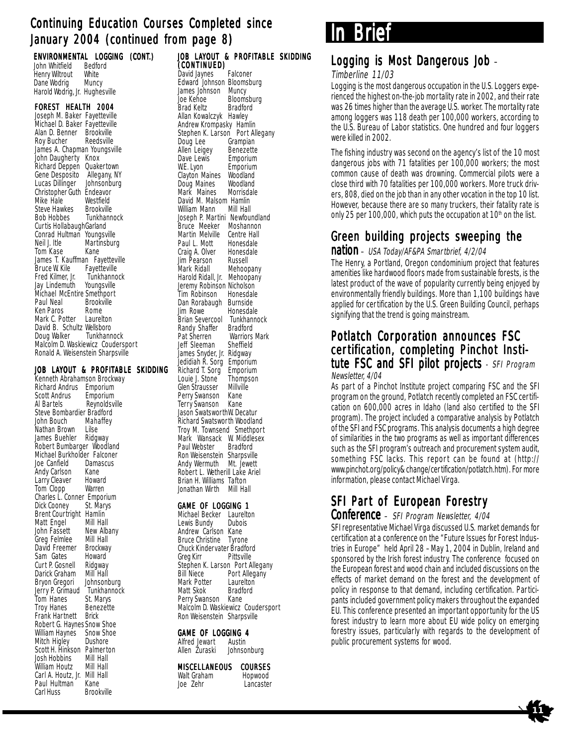### Continuing Education Courses Completed since January 2004 (continued from page 8)

| ENVIRONMENTAL LOGGING<br>John Whitfield Bedford<br>Henry Wiltrout White<br>Dane Wodrig Muncy<br>Harold Wodrig, Jr. Hughesville |             | (CONT.) |
|--------------------------------------------------------------------------------------------------------------------------------|-------------|---------|
| FOREST HEALTH 2004                                                                                                             |             |         |
| Joseph M. Baker Fayetteville                                                                                                   |             |         |
| Michael D. Baker Fayetteville                                                                                                  |             |         |
| Alan D. Benner                                                                                                                 | Brookville  |         |
| Roy Bucher Reedsville                                                                                                          |             |         |
| James A. Chapman Youngsville                                                                                                   |             |         |
| John Daugherty Knox                                                                                                            |             |         |
| Richard Deppen Quakertown                                                                                                      |             |         |
| Gene Desposito Allegany, NY<br>Lucas Dillinger Johnsonburg                                                                     |             |         |
|                                                                                                                                |             |         |
| Christopher Guth Endeavor                                                                                                      |             |         |
| Mike Hale                                                                                                                      | Westfield   |         |
| Steve Hawkes Brookville                                                                                                        |             |         |
| Bob Hobbes Tunkhannock                                                                                                         |             |         |
| Curtis HollabaughGarland                                                                                                       |             |         |
| Conrad Hultman Youngsville                                                                                                     |             |         |
| Neil I. Itle                                                                                                                   | Martinsburg |         |

Neil J. Itle Martinsburg Tom Kase Kane James T. Kauffman Fayetteville<br>Bruce W. Kile Fayetteville Bruce W. Kile Fayetteville<br>Fred Kilmer. Jr. Funkhannock Fred Kilmer, Jr. Iunkhannoch<br>Jay Lindemuth Youngsville Jay Lindemuth Michael McEntire Smethport Paul Neal Brookville<br>Ken Paros Rome Ken Paros Rome<br>Mark C. Potter Laurelton Mark C. Potter David B. Schultz Wellsboro<br>Doug Walker Tunkhannock Doug Walker Malcolm D. Waskiewicz Coudersport Ronald A. Weisenstein Sharpsville

#### JOB LAYOUT & PROFITABLE SKIDDING

Kenneth Abrahamson Brockway Richard Andrus Emporium<br>Scott Andrus Emporium Scott Andrus Al Bartels Reynoldsville Steve Bombardier Bradford<br>John Bouch Mahaffey John Bouch Maha<br>Nathan Brown Lilse Nathan Brown Lilse<br>James Buehler Ridgway James Buehler Robert Bumbarger Woodland Michael Burkholder Falconer<br>Joe Canfield Damascus Joe Canfield Dama<br>Andy Carlson Kane Andy Carlson Kane<br>Larry Cleaver Howard Larry Cleaver Tom Clopp Warren Charles L. Conner Emporium<br>Dick Cooney St. Marys Dick Cooney Brent Courtright Hamlin<br>Matt Engel Mill Hall Matt Engel John Fassett New Albany<br>Greg Felmlee Mill Hall Greg Felmlee Mill Hall<br>David Freemer Brockway David Freemer Sam Gates Howard<br>Curt P. Gosnell Ridgway Curt P. Gosnell Ridgway<br>Darick Graham Mill Hall Darick Graham Mill Hall<br>Brvon Gregori Johnsonburg Bryon Gregori Jerry P. Grimaud Tunkhannock<br>Tom Hanes St. Marys Tom Hanes St. Marys<br>Troy Hanes Benezette Troy Hanes Bene<br>Frank Hartnett Brick Frank Hartnett Robert G. HaynesSnow Shoe William Haynes Snow Shoe<br>Mitch Higley Dushore Mitch Higley Scott H. Hinkson Palmerton<br>Josh Hobbins Mill Hall Josh Hobbins Mill Hall William Houtz Carl A. Houtz, Jr. Mill Hall Paul Hultman<br>Carl Huss **Brookville** 

JOB LAYOUT & PROFITABLE SKIDDING (CONTINUED) David Jaynes Falconer Edward Johnson Bloomsburg<br>James Johnson Muncy James Johnson<br>Joe Kehoe Bloomsburg<br>Bradford Brad Keltz Allan Kowalczyk Hawley Andrew Krompasky Hamlin Stephen K. Larson Port Allegany<br>Doug Lee Grampian Grampian<br>Benezette **Allen Leigey Benezette**<br>Dave Lewis Emporium Dave Lewis<br>W.E. Lyon Emporium<br>Woodland Clayton Maines Woodland<br>Doug Maines Woodland Doug Maines Woodland<br>Mark Maines Morrisdale Mark Maines David M. Malsom Hamlin<br>William Mann Mill Hall William Mann Joseph P. Martini Newfoundland<br>Bruce Meeker Moshannon **Bruce Meeker Moshannon**<br>Martin Melville Centre Hall Martin Melville Centre Hall<br>Paul L. Mott Honesdale Paul L. Mott Honesdale<br>Craig A. Olver Honesdale Craig A. Olver Honesd<br>Jim Pearson Russell Jim Pearson Russell<br>Mark Ridall Mehoopany Mark Ridall Harold Ridall, Jr. Mehoopany Jeremy Robinson Nicholson<br>Tim Robinson Honesdale Tim Robinson Honesdal<br>Dan Rorabaugh Burnside Dan Rorabaugh<br>Jim Rowe Honesdale<br>Tunkhannock Brian Severcool Tunkhan<br>Randy Shaffer Bradford Randy Shaffer<br>Pat Sherren Warriors Mark<br>Sheffield Jeff Sleeman James Snyder, Jr. Ridgway<br>Jedidiah R. Sorg Emporium Jedidiah R. Sorg Emporium<br>Richard T. Sorg Emporium Richard T. Sorg Emporium<br>Louie L. Stone Thompson Louie J. Stone Thomps<br>Glen Strausser Millville Glen Strausser Millvil<br>Perry Swanson Kane Perry Swanson Kane<br>Terry Swanson Kane Terry Swanson Jason SwatsworthW. Decatur Richard Swatsworth Woodland Troy M. Townsend Smethport Mark Wansack W. Middlesex<br>Paul Webster Bradford Paul Webster Ron Weisenstein Sharpsville Andy Wermuth Mt. Jewett Robert L. Wetherill Lake Ariel Brian H. Williams Tafton Jonathan Wirth Mill Hall GAME OF LOGGING 1

Michael Becker Laurelton<br>Lewis Bundy Dubois Lewis Bundy Andrew Carlson Kane Bruce Christine Tyrone Chuck Kindervater Bradford<br>Greg Kirr Pittsville Greg Kirr Pittsville Stephen K. Larson Port Allegany Bill Niece Port Allegany<br>Mark Potter Laurelton Mark Potter<br>Matt Skok Bradford<br>Kane Perry Swanson Malcolm D. Waskiewicz Coudersport Ron Weisenstein Sharpsville

### **GAME OF LOGGING 4**<br>Alfred lewart **Austin**

Alfred Jewart<br>Allen Zuraski Johnsonburg

#### **MISCELLANEOUS COURSES**<br>Walt Graham Hopwood Walt Graham<br>Joe Zehr Lancaster

The Sustainable Forestry Initiative® of Pennsylvania **Brief** 

#### Logging is Most Dangerous Job –

#### Timberline 11/03

Logging is the most dangerous occupation in the U.S. Loggers experienced the highest on-the-job mortality rate in 2002, and their rate was 26 times higher than the average U.S. worker. The mortality rate among loggers was 118 death per 100,000 workers, according to the U.S. Bureau of Labor statistics. One hundred and four loggers were killed in 2002.

The fishing industry was second on the agency's list of the 10 most dangerous jobs with 71 fatalities per 100,000 workers; the most common cause of death was drowning. Commercial pilots were a close third with 70 fatalities per 100,000 workers. More truck drivers, 808, died on the job than in any other vocation in the top 10 list. However, because there are so many truckers, their fatality rate is only 25 per 100,000, which puts the occupation at  $10<sup>th</sup>$  on the list.

### Green building projects sweeping the

#### nation – USA Today/AF&PA Smartbrief, 4/2/04

The Henry, a Portland, Oregon condominium project that features amenities like hardwood floors made from sustainable forests, is the latest product of the wave of popularity currently being enjoyed by environmentally friendly buildings. More than 1,100 buildings have applied for certification by the U.S. Green Building Council, perhaps signifying that the trend is going mainstream.

#### Potlatch Corporation announces FSC certification, completing Pinchot Institute FSC and SFI pilot projects  $\overline{\cdot}$  SFI Program Newsletter, 4/04

As part of a Pinchot Institute project comparing FSC and the SFI program on the ground, Potlatch recently completed an FSC certification on 600,000 acres in Idaho (land also certified to the SFI program). The project included a comparative analysis by Potlatch of the SFI and FSC programs. This analysis documents a high degree of similarities in the two programs as well as important differences such as the SFI program's outreach and procurement system audit, something FSC lacks. This report can be found at (http:// www.pinchot.org/policy& change/certification/potlatch.htm). For more information, please contact Michael Virga.

## SFI Part of European Forestry

#### Conference – SFI Program Newsletter, 4/04

SFI representative Michael Virga discussed U.S. market demands for certification at a conference on the "Future Issues for Forest Industries in Europe" held April 28 –May 1, 2004 in Dublin, Ireland and sponsored by the Irish forest industry. The conference focused on the European forest and wood chain and included discussions on the effects of market demand on the forest and the development of policy in response to that demand, including certification. Participants included government policy makers throughout the expanded EU. This conference presented an important opportunity for the US forest industry to learn more about EU wide policy on emerging forestry issues, particularly with regards to the development of public procurement systems for wood.

**11**